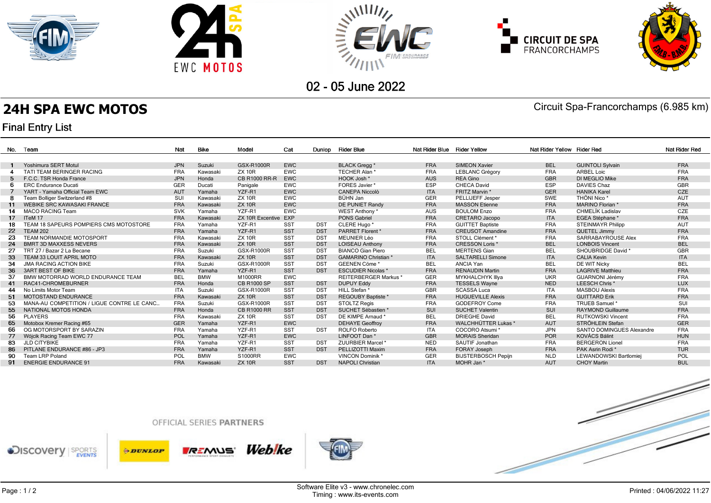





**CIRCUIT DE SPA**<br>FRANCORCHAMPS



02 - 05 June 2022

**24H SPA EWC MOTOS** Circuit Spa-Francorchamps (6.985 km)

# **Final Entry List**

|                | No. Team                                    | Nat        | <b>Bike</b> | Model                   | Cat        | Dunlop     | Rider Blue                  | Nat Rider Blue Rider Yellow |                            | Nat Rider Yellow Rider Red |                                  | Nat Rider Red |
|----------------|---------------------------------------------|------------|-------------|-------------------------|------------|------------|-----------------------------|-----------------------------|----------------------------|----------------------------|----------------------------------|---------------|
|                |                                             |            |             |                         |            |            |                             |                             |                            |                            |                                  |               |
|                | Yoshimura SERT Motul                        | <b>JPN</b> | Suzuki      | GSX-R1000R              | <b>EWC</b> |            | <b>BLACK Gregg*</b>         | <b>FRA</b>                  | SIMEON Xavier              | <b>BEL</b>                 | <b>GUINTOLI Sylvain</b>          | <b>FRA</b>    |
|                | TATI TEAM BERINGER RACING                   | <b>FRA</b> | Kawasaki    | <b>ZX 10R</b>           | <b>EWC</b> |            | TECHER Alan*                | <b>FRA</b>                  | <b>LEBLANC Grégory</b>     | <b>FRA</b>                 | <b>ARBEL Loic</b>                | <b>FRA</b>    |
| 5              | F.C.C. TSR Honda France                     | <b>JPN</b> | Honda       | <b>CB R1000 RR-R</b>    | <b>EWC</b> |            | HOOK Josh *                 | <b>AUS</b>                  | <b>REA Gino</b>            | <b>GBR</b>                 | <b>DI MEGLIO Mike</b>            | <b>FRA</b>    |
|                | <b>ERC</b> Endurance Ducati                 | GER        | Ducati      | Panigale                | <b>EWC</b> |            | FORES Javier *              | <b>ESP</b>                  | CHECA David                | <b>ESP</b>                 | <b>DAVIES Chaz</b>               | GBR           |
|                | YART - Yamaha Official Team EWC             | <b>AUT</b> | Yamaha      | YZF-R1                  | <b>EWC</b> |            | CANEPA Niccolò              | <b>ITA</b>                  | FRITZ Marvin *             | <b>GER</b>                 | <b>HANIKA Karel</b>              | <b>CZE</b>    |
| -8             | Team Bolliger Switzerland #8                | SUI        | Kawasaki    | <b>ZX 10R</b>           | <b>EWC</b> |            | BÜHN Jan                    | <b>GER</b>                  | PELLIJEFF Jesper           | SWE                        | THÖNI Nico <sup>*</sup>          | <b>AUT</b>    |
| 11             | <b>WEBIKE SRC KAWASAKI FRANCE</b>           | <b>FRA</b> | Kawasaki    | <b>ZX 10R</b>           | <b>EWC</b> |            | <b>DE PUNIET Randy</b>      | <b>FRA</b>                  | <b>MASSON Etienne</b>      | <b>FRA</b>                 | MARINO Florian *                 | <b>FRA</b>    |
| 14             | MACO RACING Team                            | <b>SVK</b> | Yamaha      | YZF-R1                  | <b>EWC</b> |            | WEST Anthony *              | <b>AUS</b>                  | <b>BOULOM Enzo</b>         | <b>FRA</b>                 | CHMELÍK Ladislav                 | CZE           |
| 17             | ITeM 17                                     | <b>FRA</b> | Kawasaki    | <b>ZX 10R Excentive</b> | EXP        |            | <b>PONS Gabriel</b>         | <b>FRA</b>                  | CRETARO Jacopo             | <b>ITA</b>                 | EGEA Stéphane*                   | <b>FRA</b>    |
| 18             | TEAM 18 SAPEURS POMPIERS CMS MOTOSTORE      | <b>FRA</b> | Yamaha      | YZF-R1                  | <b>SST</b> | <b>DST</b> | CLERE Hugo *                | <b>FRA</b>                  | <b>GUITTET Baptiste</b>    | <b>FRA</b>                 | <b>STEINMAYR Philipp</b>         | <b>AUT</b>    |
| 22             | <b>TEAM 202</b>                             | <b>FRA</b> | Yamaha      | YZF-R1                  | <b>SST</b> | <b>DST</b> | <b>PARRET Florent *</b>     | <b>FRA</b>                  | <b>CREUSOT Amandine</b>    | <b>FRA</b>                 | QUETEL Jimmy                     | <b>FRA</b>    |
| 23             | TEAM NORMANDIE MOTOSPORT                    | <b>FRA</b> | Kawasaki    | <b>ZX 10R</b>           | <b>SST</b> | <b>DST</b> | <b>MEUNIER Léo</b>          | <b>FRA</b>                  | STOLL Clément *            | <b>FRA</b>                 | SARRABAYROUSE Alex               | <b>FRA</b>    |
| 24             | <b>BMRT 3D MAXXESS NEVERS</b>               | <b>FRA</b> | Kawasaki    | <b>ZX 10R</b>           | <b>SST</b> | <b>DST</b> | <b>LOISEAU Anthony</b>      | <b>FRA</b>                  | <b>CRESSON Loris *</b>     | <b>BEL</b>                 | <b>LONBOIS Vincent</b>           | <b>BEL</b>    |
| 27             | TRT 27 / Bazar 2 La Becane                  | <b>FRA</b> | Suzuki      | GSX-R1000R              | <b>SST</b> | <b>DST</b> | <b>BIANCO Gian Piero</b>    | <b>BEL</b>                  | <b>MERTENS Gian</b>        | <b>BEL</b>                 | SHOUBRIDGE David *               | <b>GBR</b>    |
| 33             | TEAM 33 LOUIT APRIL MOTO                    | <b>FRA</b> | Kawasaki    | <b>ZX 10R</b>           | <b>SST</b> | <b>DST</b> | <b>GAMARINO Christian *</b> | <b>ITA</b>                  | <b>SALTARELLI Simone</b>   | <b>ITA</b>                 | <b>CALIA Kevin</b>               | <b>ITA</b>    |
| 34             | <b>JMA RACING ACTION BIKE</b>               | <b>FRA</b> | Suzuki      | GSX-R1000R              | <b>SST</b> | <b>DST</b> | GEENEN Cöme*                | <b>BEL</b>                  | ANCIA Yan                  | <b>BEL</b>                 | DE WIT Nicky                     | <b>BEL</b>    |
| 36             | <b>3ART BEST OF BIKE</b>                    | <b>FRA</b> | Yamaha      | YZF-R1                  | <b>SST</b> | <b>DST</b> | <b>ESCUDIER Nicolas *</b>   | <b>FRA</b>                  | <b>RENAUDIN Martin</b>     | <b>FRA</b>                 | <b>LAGRIVE Matthieu</b>          | <b>FRA</b>    |
| 37             | BMW MOTORRAD WORLD ENDURANCE TEAM           | <b>BEL</b> | <b>BMW</b>  | M1000RR                 | <b>EWC</b> |            | <b>REITERBERGER Markus*</b> | <b>GER</b>                  | <b>MYKHALCHYK Illya</b>    | <b>UKR</b>                 | GUARNONI Jérémy                  | <b>FRA</b>    |
| 4 <sup>1</sup> | RAC41-CHROMEBURNER                          | <b>FRA</b> | Honda       | <b>CB R1000 SP</b>      | <b>SST</b> | <b>DST</b> | <b>DUPUY Eddy</b>           | <b>FRA</b>                  | <b>TESSELS Wayne</b>       | <b>NED</b>                 | LEESCH Chris*                    | <b>LUX</b>    |
| 44             | No Limits Motor Team                        | <b>ITA</b> | Suzuki      | GSX-R1000R              | <b>SST</b> | <b>DST</b> | HILL Stefan *               | <b>GBR</b>                  | <b>SCASSA Luca</b>         | <b>ITA</b>                 | <b>MASBOU Alexis</b>             | <b>FRA</b>    |
| 51             | <b>MOTOSTAND ENDURANCE</b>                  | <b>FRA</b> | Kawasaki    | <b>ZX 10R</b>           | <b>SST</b> | <b>DST</b> | REGOUBY Baptiste *          | <b>FRA</b>                  | <b>HUGUEVILLE Alexis</b>   | <b>FRA</b>                 | <b>GUITTARD Erik</b>             | <b>FRA</b>    |
| 53             | MANA-AU COMPETITION / LIGUE CONTRE LE CANC. | <b>FRA</b> | Suzuki      | GSX-R1000R              | <b>SST</b> | <b>DST</b> | <b>STOLTZ Regis</b>         | <b>FRA</b>                  | <b>GODEFROY Come</b>       | <b>FRA</b>                 | TRUEB Samuel*                    | SUI           |
| 55             | NATIONAL MOTOS HONDA                        | <b>FRA</b> | Honda       | <b>CB R1000 RR</b>      | <b>SST</b> | <b>DST</b> | SUCHET Sébastien *          | SUI                         | <b>SUCHET Valentin</b>     | SUI                        | <b>RAYMOND Guillaume</b>         | <b>FRA</b>    |
| 56             | <b>PLAYERS</b>                              | <b>FRA</b> | Kawasaki    | <b>ZX 10R</b>           | <b>SST</b> | <b>DST</b> | DE KIMPE Arnaud *           | <b>BEL</b>                  | <b>DRIEGHE David</b>       | <b>BEL</b>                 | <b>RUTKOWSKI Vincent</b>         | <b>FRA</b>    |
| 65             | Motobox Kremer Racing #65                   | GER        | Yamaha      | YZF-R1                  | <b>EWC</b> |            | <b>DEHAYE Geoffrov</b>      | <b>FRA</b>                  | <b>WALCHHÜTTER Lukas</b> * | <b>AUT</b>                 | STRÖHLEIN Stefan                 | <b>GER</b>    |
| 66             | OG MOTORSPORT BY SARAZIN                    | <b>FRA</b> | Yamaha      | YZF-R1                  | <b>SST</b> | <b>DST</b> | <b>ROLFO Roberto</b>        | <b>ITA</b>                  | COCORO Atsumi *            | <b>JPN</b>                 | <b>SANTO DOMINGUES Alexandre</b> | <b>FRA</b>    |
| 77             | Wójcik Racing Team EWC 77                   | POL        | Yamaha      | YZF-R1                  | <b>EWC</b> |            | LINFOOT Dan*                | <b>GBR</b>                  | <b>MORAIS Sheridan</b>     | <b>POR</b>                 | <b>KOVÁCS Bálint</b>             | <b>HUN</b>    |
| 83             | <b>JLD CITYBIKE</b>                         | <b>FRA</b> | Yamaha      | YZF-R1                  | <b>SST</b> | <b>DST</b> | ZUURBIER Marcel *           | <b>NED</b>                  | SAUTIF Jonathan            | <b>FRA</b>                 | <b>BERGERON Lionel</b>           | <b>FRA</b>    |
| 86             | PITLANE ENDURANCE #86 - JP3                 | <b>FRA</b> | Yamaha      | YZF-R1                  | <b>SST</b> | <b>DST</b> | PELLIZOTTI Maxim            | <b>FRA</b>                  | <b>FORAY Joseph</b>        | <b>FRA</b>                 | PAK Asrin Rodi <sup>*</sup>      | <b>TUR</b>    |
| 90             | Team LRP Poland                             | POL        | <b>BMW</b>  | S1000RR                 | <b>EWC</b> |            | <b>VINCON Dominik*</b>      | <b>GER</b>                  | <b>BIJSTERBOSCH Pepijn</b> | <b>NLD</b>                 | LEWANDOWSKI Bartlomiej           | POL           |
|                | 91 ENERGIE ENDURANCE 91                     | <b>FRA</b> | Kawasaki    | <b>ZX 10R</b>           | <b>SST</b> | <b>DST</b> | <b>NAPOLI Christian</b>     | <b>ITA</b>                  | MOHR Jan*                  | <b>AUT</b>                 | <b>CHOY Martin</b>               | <b>BUL</b>    |
|                |                                             |            |             |                         |            |            |                             |                             |                            |                            |                                  |               |

### OFFICIAL SERIES PARTNERS







Web!ke